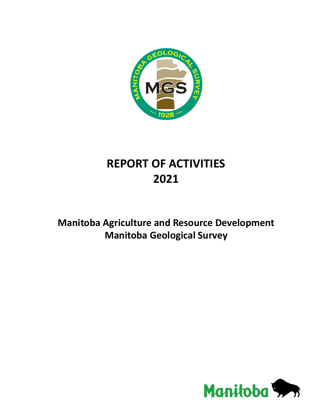

## **REPORT OF ACTIVITIES 2021**

## **Manitoba Agriculture and Resource Development Manitoba Geological Survey**